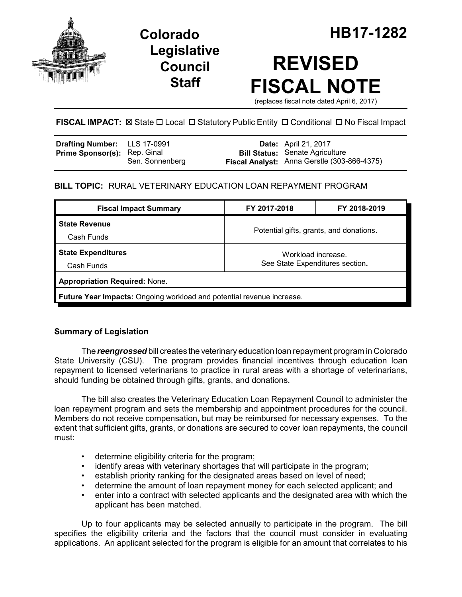

**Legislative Council Staff**

# **REVISED FISCAL NOTE**

(replaces fiscal note dated April 6, 2017)

# **FISCAL IMPACT:**  $\boxtimes$  **State □ Local □ Statutory Public Entity □ Conditional □ No Fiscal Impact**

| Drafting Number: LLS 17-0991        |                 | <b>Date:</b> April 21, 2017                                                           |
|-------------------------------------|-----------------|---------------------------------------------------------------------------------------|
| <b>Prime Sponsor(s): Rep. Ginal</b> | Sen. Sonnenberg | <b>Bill Status:</b> Senate Agriculture<br>Fiscal Analyst: Anna Gerstle (303-866-4375) |

# **BILL TOPIC:** RURAL VETERINARY EDUCATION LOAN REPAYMENT PROGRAM

| FY 2017-2018                                                          | FY 2018-2019 |  |  |  |  |
|-----------------------------------------------------------------------|--------------|--|--|--|--|
|                                                                       |              |  |  |  |  |
| Potential gifts, grants, and donations.                               |              |  |  |  |  |
| Workload increase.                                                    |              |  |  |  |  |
| See State Expenditures section.                                       |              |  |  |  |  |
| <b>Appropriation Required: None.</b>                                  |              |  |  |  |  |
| Future Year Impacts: Ongoing workload and potential revenue increase. |              |  |  |  |  |
|                                                                       |              |  |  |  |  |

# **Summary of Legislation**

The *reengrossed* bill creates the veterinary education loan repayment program in Colorado State University (CSU). The program provides financial incentives through education loan repayment to licensed veterinarians to practice in rural areas with a shortage of veterinarians, should funding be obtained through gifts, grants, and donations.

The bill also creates the Veterinary Education Loan Repayment Council to administer the loan repayment program and sets the membership and appointment procedures for the council. Members do not receive compensation, but may be reimbursed for necessary expenses. To the extent that sufficient gifts, grants, or donations are secured to cover loan repayments, the council must:

- determine eligibility criteria for the program;
- identify areas with veterinary shortages that will participate in the program;
- establish priority ranking for the designated areas based on level of need;
- determine the amount of loan repayment money for each selected applicant; and
- enter into a contract with selected applicants and the designated area with which the applicant has been matched.

Up to four applicants may be selected annually to participate in the program. The bill specifies the eligibility criteria and the factors that the council must consider in evaluating applications. An applicant selected for the program is eligible for an amount that correlates to his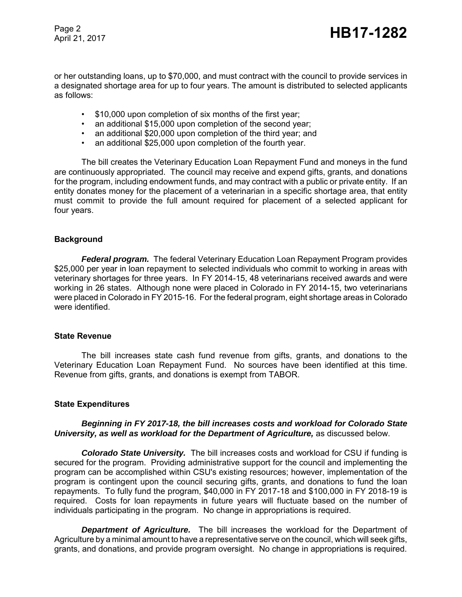Page 2

or her outstanding loans, up to \$70,000, and must contract with the council to provide services in a designated shortage area for up to four years. The amount is distributed to selected applicants as follows:

- \$10,000 upon completion of six months of the first year;
- an additional \$15,000 upon completion of the second year;
- an additional \$20,000 upon completion of the third year: and
- an additional \$25,000 upon completion of the fourth year.

The bill creates the Veterinary Education Loan Repayment Fund and moneys in the fund are continuously appropriated. The council may receive and expend gifts, grants, and donations for the program, including endowment funds, and may contract with a public or private entity. If an entity donates money for the placement of a veterinarian in a specific shortage area, that entity must commit to provide the full amount required for placement of a selected applicant for four years.

## **Background**

*Federal program.* The federal Veterinary Education Loan Repayment Program provides \$25,000 per year in loan repayment to selected individuals who commit to working in areas with veterinary shortages for three years. In FY 2014-15, 48 veterinarians received awards and were working in 26 states. Although none were placed in Colorado in FY 2014-15, two veterinarians were placed in Colorado in FY 2015-16. For the federal program, eight shortage areas in Colorado were identified.

#### **State Revenue**

The bill increases state cash fund revenue from gifts, grants, and donations to the Veterinary Education Loan Repayment Fund. No sources have been identified at this time. Revenue from gifts, grants, and donations is exempt from TABOR.

## **State Expenditures**

#### *Beginning in FY 2017-18, the bill increases costs and workload for Colorado State University, as well as workload for the Department of Agriculture,* as discussed below.

*Colorado State University.* The bill increases costs and workload for CSU if funding is secured for the program. Providing administrative support for the council and implementing the program can be accomplished within CSU's existing resources; however, implementation of the program is contingent upon the council securing gifts, grants, and donations to fund the loan repayments. To fully fund the program, \$40,000 in FY 2017-18 and \$100,000 in FY 2018-19 is required. Costs for loan repayments in future years will fluctuate based on the number of individuals participating in the program. No change in appropriations is required.

*Department of Agriculture.* The bill increases the workload for the Department of Agriculture by a minimal amount to have a representative serve on the council, which will seek gifts, grants, and donations, and provide program oversight. No change in appropriations is required.